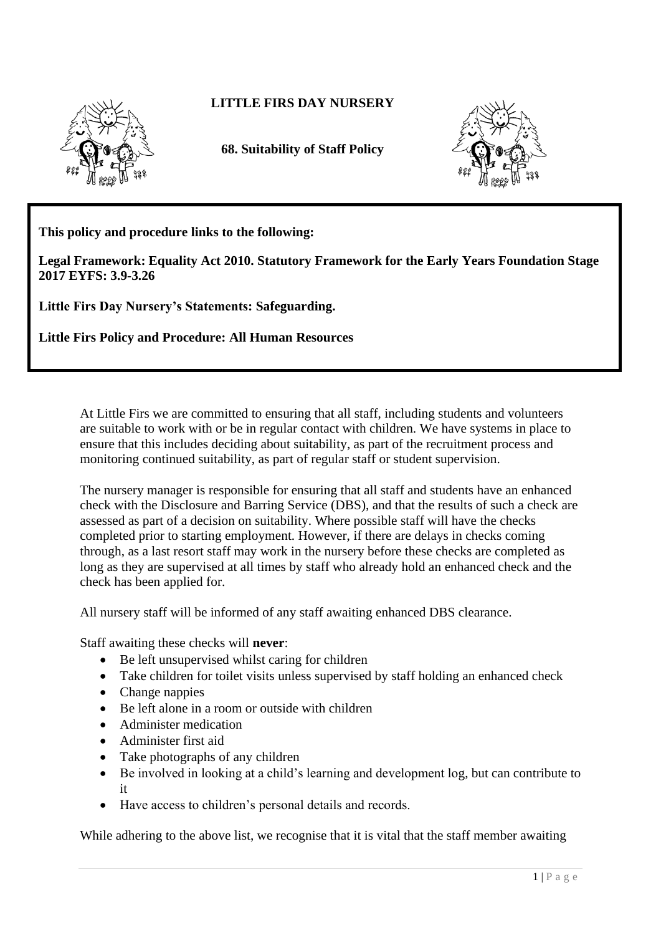

## **LITTLE FIRS DAY NURSERY**

**68. Suitability of Staff Policy**



**This policy and procedure links to the following:** 

**Legal Framework: Equality Act 2010. Statutory Framework for the Early Years Foundation Stage 2017 EYFS: 3.9-3.26**

**Little Firs Day Nursery's Statements: Safeguarding.**

**Little Firs Policy and Procedure: All Human Resources** 

At Little Firs we are committed to ensuring that all staff, including students and volunteers are suitable to work with or be in regular contact with children. We have systems in place to ensure that this includes deciding about suitability, as part of the recruitment process and monitoring continued suitability, as part of regular staff or student supervision.

The nursery manager is responsible for ensuring that all staff and students have an enhanced check with the Disclosure and Barring Service (DBS), and that the results of such a check are assessed as part of a decision on suitability. Where possible staff will have the checks completed prior to starting employment. However, if there are delays in checks coming through, as a last resort staff may work in the nursery before these checks are completed as long as they are supervised at all times by staff who already hold an enhanced check and the check has been applied for.

All nursery staff will be informed of any staff awaiting enhanced DBS clearance.

Staff awaiting these checks will **never**:

- Be left unsupervised whilst caring for children
- Take children for toilet visits unless supervised by staff holding an enhanced check
- Change nappies
- Be left alone in a room or outside with children
- Administer medication
- Administer first aid
- Take photographs of any children
- Be involved in looking at a child's learning and development log, but can contribute to it
- Have access to children's personal details and records.

While adhering to the above list, we recognise that it is vital that the staff member awaiting